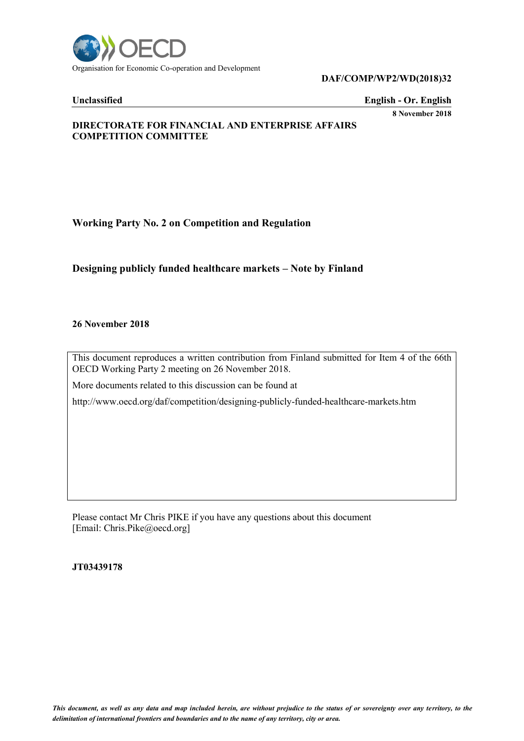

**Unclassified English - Or. English**

**8 November 2018**

# **DIRECTORATE FOR FINANCIAL AND ENTERPRISE AFFAIRS COMPETITION COMMITTEE**

# **Working Party No. 2 on Competition and Regulation**

# **Designing publicly funded healthcare markets – Note by Finland**

#### **26 November 2018**

This document reproduces a written contribution from Finland submitted for Item 4 of the 66th OECD Working Party 2 meeting on 26 November 2018.

More documents related to this discussion can be found at

http://www.oecd.org/daf/competition/designing-publicly-funded-healthcare-markets.htm

Please contact Mr Chris PIKE if you have any questions about this document [Email: Chris.Pike@oecd.org]

**JT03439178**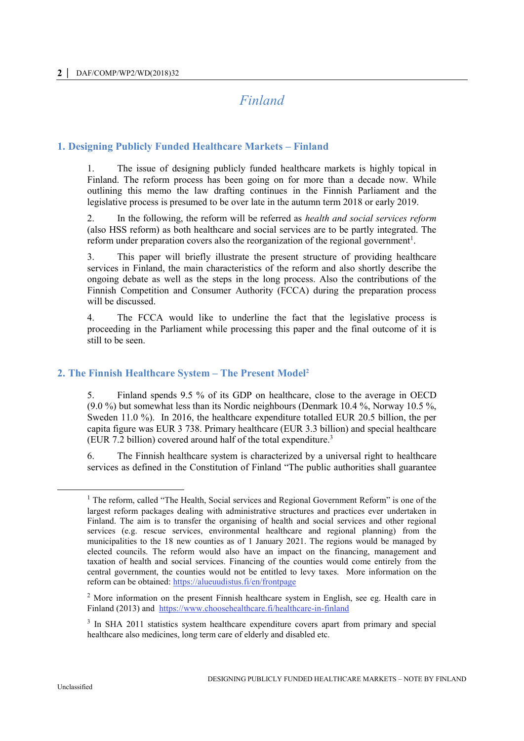# *Finland*

# **1. Designing Publicly Funded Healthcare Markets – Finland**

1. The issue of designing publicly funded healthcare markets is highly topical in Finland. The reform process has been going on for more than a decade now. While outlining this memo the law drafting continues in the Finnish Parliament and the legislative process is presumed to be over late in the autumn term 2018 or early 2019.

2. In the following, the reform will be referred as *health and social services reform* (also HSS reform) as both healthcare and social services are to be partly integrated. The reform under preparation covers also the reorganization of the regional government<sup>1</sup>.

3. This paper will briefly illustrate the present structure of providing healthcare services in Finland, the main characteristics of the reform and also shortly describe the ongoing debate as well as the steps in the long process. Also the contributions of the Finnish Competition and Consumer Authority (FCCA) during the preparation process will be discussed.

4. The FCCA would like to underline the fact that the legislative process is proceeding in the Parliament while processing this paper and the final outcome of it is still to be seen.

# **2. The Finnish Healthcare System – The Present Model<sup>2</sup>**

5. Finland spends 9.5 % of its GDP on healthcare, close to the average in OECD (9.0 %) but somewhat less than its Nordic neighbours (Denmark 10.4 %, Norway 10.5 %, Sweden 11.0 %). In 2016, the healthcare expenditure totalled EUR 20.5 billion, the per capita figure was EUR 3 738. Primary healthcare (EUR 3.3 billion) and special healthcare (EUR 7.2 billion) covered around half of the total expenditure.<sup>3</sup>

6. The Finnish healthcare system is characterized by a universal right to healthcare services as defined in the Constitution of Finland "The public authorities shall guarantee

<sup>&</sup>lt;sup>1</sup> The reform, called "The Health, Social services and Regional Government Reform" is one of the largest reform packages dealing with administrative structures and practices ever undertaken in Finland. The aim is to transfer the organising of health and social services and other regional services (e.g. rescue services, environmental healthcare and regional planning) from the municipalities to the 18 new counties as of 1 January 2021. The regions would be managed by elected councils. The reform would also have an impact on the financing, management and taxation of health and social services. Financing of the counties would come entirely from the central government, the counties would not be entitled to levy taxes. More information on the reform can be obtained:<https://alueuudistus.fi/en/frontpage>

 $<sup>2</sup>$  More information on the present Finnish healthcare system in English, see eg. Health care in</sup> Finland (2013) and <https://www.choosehealthcare.fi/healthcare-in-finland>

<sup>&</sup>lt;sup>3</sup> In SHA 2011 statistics system healthcare expenditure covers apart from primary and special healthcare also medicines, long term care of elderly and disabled etc.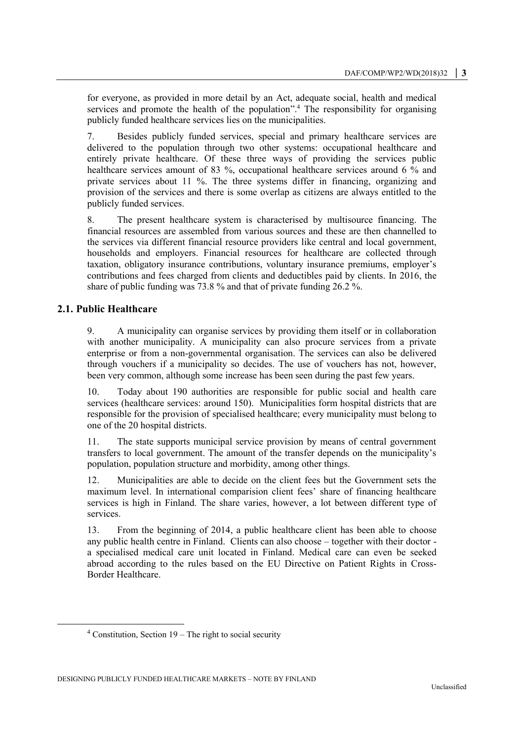for everyone, as provided in more detail by an Act, adequate social, health and medical services and promote the health of the population". <sup>4</sup> The responsibility for organising publicly funded healthcare services lies on the municipalities.

7. Besides publicly funded services, special and primary healthcare services are delivered to the population through two other systems: occupational healthcare and entirely private healthcare. Of these three ways of providing the services public healthcare services amount of 83 %, occupational healthcare services around 6 % and private services about 11 %. The three systems differ in financing, organizing and provision of the services and there is some overlap as citizens are always entitled to the publicly funded services.

8. The present healthcare system is characterised by multisource financing. The financial resources are assembled from various sources and these are then channelled to the services via different financial resource providers like central and local government, households and employers. Financial resources for healthcare are collected through taxation, obligatory insurance contributions, voluntary insurance premiums, employer's contributions and fees charged from clients and deductibles paid by clients. In 2016, the share of public funding was 73.8 % and that of private funding 26.2 %.

# **2.1. Public Healthcare**

 $\overline{a}$ 

9. A municipality can organise services by providing them itself or in collaboration with another municipality. A municipality can also procure services from a private enterprise or from a non-governmental organisation. The services can also be delivered through vouchers if a municipality so decides. The use of vouchers has not, however, been very common, although some increase has been seen during the past few years.

10. Today about 190 authorities are responsible for public social and health care services (healthcare services: around 150). Municipalities form hospital districts that are responsible for the provision of specialised healthcare; every municipality must belong to one of the 20 hospital districts.

11. The state supports municipal service provision by means of central government transfers to local government. The amount of the transfer depends on the municipality's population, population structure and morbidity, among other things.

12. Municipalities are able to decide on the client fees but the Government sets the maximum level. In international comparision client fees' share of financing healthcare services is high in Finland. The share varies, however, a lot between different type of services.

13. From the beginning of 2014, a public healthcare client has been able to choose any public health centre in Finland. Clients can also choose – together with their doctor a specialised medical care unit located in Finland. Medical care can even be seeked abroad according to the rules based on the EU Directive on Patient Rights in Cross-Border Healthcare.

 $4$  Constitution, Section 19 – The right to social security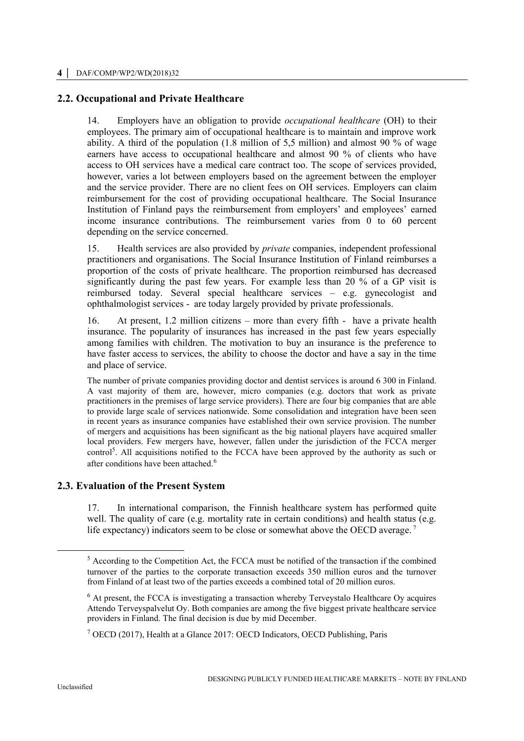#### **2.2. Occupational and Private Healthcare**

14. Employers have an obligation to provide *occupational healthcare* (OH) to their employees. The primary aim of occupational healthcare is to maintain and improve work ability. A third of the population  $(1.8 \text{ million of } 5.5 \text{ million})$  and almost 90 % of wage earners have access to occupational healthcare and almost 90 % of clients who have access to OH services have a medical care contract too. The scope of services provided, however, varies a lot between employers based on the agreement between the employer and the service provider. There are no client fees on OH services. Employers can claim reimbursement for the cost of providing occupational healthcare. The Social Insurance Institution of Finland pays the reimbursement from employers' and employees' earned income insurance contributions. The reimbursement varies from 0 to 60 percent depending on the service concerned.

15. Health services are also provided by *private* companies, independent professional practitioners and organisations. The Social Insurance Institution of Finland reimburses a proportion of the costs of private healthcare. The proportion reimbursed has decreased significantly during the past few years. For example less than 20 % of a GP visit is reimbursed today. Several special healthcare services – e.g. gynecologist and ophthalmologist services - are today largely provided by private professionals.

16. At present, 1.2 million citizens – more than every fifth - have a private health insurance. The popularity of insurances has increased in the past few years especially among families with children. The motivation to buy an insurance is the preference to have faster access to services, the ability to choose the doctor and have a say in the time and place of service.

The number of private companies providing doctor and dentist services is around 6 300 in Finland. A vast majority of them are, however, micro companies (e.g. doctors that work as private practitioners in the premises of large service providers). There are four big companies that are able to provide large scale of services nationwide. Some consolidation and integration have been seen in recent years as insurance companies have established their own service provision. The number of mergers and acquisitions has been significant as the big national players have acquired smaller local providers. Few mergers have, however, fallen under the jurisdiction of the FCCA merger control<sup>5</sup>. All acquisitions notified to the FCCA have been approved by the authority as such or after conditions have been attached.<sup>6</sup>

#### **2.3. Evaluation of the Present System**

17. In international comparison, the Finnish healthcare system has performed quite well. The quality of care (e.g. mortality rate in certain conditions) and health status (e.g. life expectancy) indicators seem to be close or somewhat above the OECD average.<sup>7</sup>

<sup>5</sup> According to the Competition Act, the FCCA must be notified of the transaction if the combined turnover of the parties to the corporate transaction exceeds 350 million euros and the turnover from Finland of at least two of the parties exceeds a combined total of 20 million euros.

<sup>&</sup>lt;sup>6</sup> At present, the FCCA is investigating a transaction whereby Terveystalo Healthcare Oy acquires Attendo Terveyspalvelut Oy. Both companies are among the five biggest private healthcare service providers in Finland. The final decision is due by mid December.

<sup>7</sup> OECD (2017), Health at a Glance 2017: OECD Indicators, OECD Publishing, Paris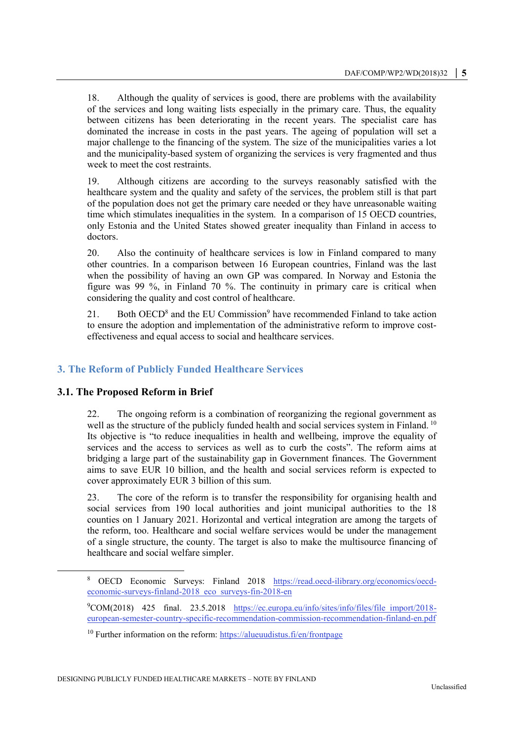18. Although the quality of services is good, there are problems with the availability of the services and long waiting lists especially in the primary care. Thus, the equality between citizens has been deteriorating in the recent years. The specialist care has dominated the increase in costs in the past years. The ageing of population will set a major challenge to the financing of the system. The size of the municipalities varies a lot and the municipality-based system of organizing the services is very fragmented and thus week to meet the cost restraints.

19. Although citizens are according to the surveys reasonably satisfied with the healthcare system and the quality and safety of the services, the problem still is that part of the population does not get the primary care needed or they have unreasonable waiting time which stimulates inequalities in the system. In a comparison of 15 OECD countries, only Estonia and the United States showed greater inequality than Finland in access to doctors.

20. Also the continuity of healthcare services is low in Finland compared to many other countries. In a comparison between 16 European countries, Finland was the last when the possibility of having an own GP was compared. In Norway and Estonia the figure was 99 %, in Finland 70 %. The continuity in primary care is critical when considering the quality and cost control of healthcare.

21. Both OECD<sup>8</sup> and the EU Commission<sup>9</sup> have recommended Finland to take action to ensure the adoption and implementation of the administrative reform to improve costeffectiveness and equal access to social and healthcare services.

# **3. The Reform of Publicly Funded Healthcare Services**

# **3.1. The Proposed Reform in Brief**

22. The ongoing reform is a combination of reorganizing the regional government as well as the structure of the publicly funded health and social services system in Finland. <sup>10</sup> Its objective is "to reduce inequalities in health and wellbeing, improve the equality of services and the access to services as well as to curb the costs". The reform aims at bridging a large part of the sustainability gap in Government finances. The Government aims to save EUR 10 billion, and the health and social services reform is expected to cover approximately EUR 3 billion of this sum.

23. The core of the reform is to transfer the responsibility for organising health and social services from 190 local authorities and joint municipal authorities to the 18 counties on 1 January 2021. Horizontal and vertical integration are among the targets of the reform, too. Healthcare and social welfare services would be under the management of a single structure, the county. The target is also to make the multisource financing of healthcare and social welfare simpler.

<sup>8</sup> OECD Economic Surveys: Finland 2018 [https://read.oecd-ilibrary.org/economics/oecd](https://read.oecd-ilibrary.org/economics/oecd-economic-surveys-finland-2018_eco_surveys-fin-2018-en)[economic-surveys-finland-2018\\_eco\\_surveys-fin-2018-en](https://read.oecd-ilibrary.org/economics/oecd-economic-surveys-finland-2018_eco_surveys-fin-2018-en)

 $^9$ COM(2018) 425 final. 23.5.2018 https://ec.europa.eu/info/sites/info/files/file import/2018[european-semester-country-specific-recommendation-commission-recommendation-finland-en.pdf](https://ec.europa.eu/info/sites/info/files/file_import/2018-european-semester-country-specific-recommendation-commission-recommendation-finland-en.pdf)

<sup>10</sup> Further information on the reform:<https://alueuudistus.fi/en/frontpage>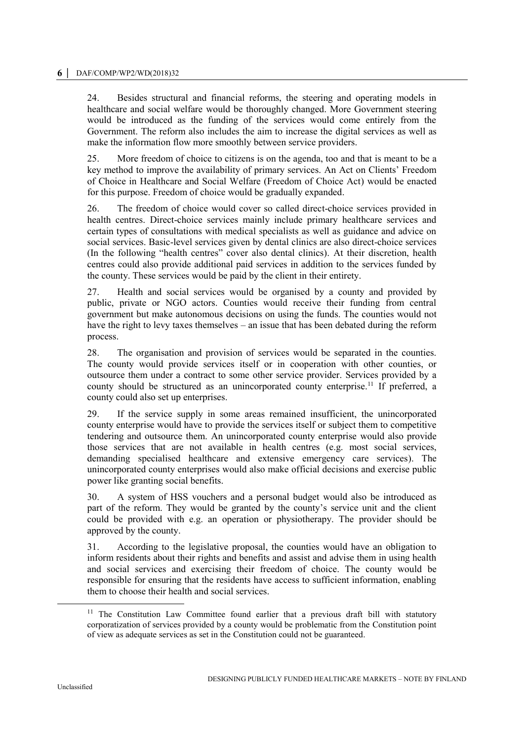24. Besides structural and financial reforms, the steering and operating models in healthcare and social welfare would be thoroughly changed. More Government steering would be introduced as the funding of the services would come entirely from the Government. The reform also includes the aim to increase the digital services as well as make the information flow more smoothly between service providers.

25. More freedom of choice to citizens is on the agenda, too and that is meant to be a key method to improve the availability of primary services. An Act on Clients' Freedom of Choice in Healthcare and Social Welfare (Freedom of Choice Act) would be enacted for this purpose. Freedom of choice would be gradually expanded.

26. The freedom of choice would cover so called direct-choice services provided in health centres. Direct-choice services mainly include primary healthcare services and certain types of consultations with medical specialists as well as guidance and advice on social services. Basic-level services given by dental clinics are also direct-choice services (In the following "health centres" cover also dental clinics). At their discretion, health centres could also provide additional paid services in addition to the services funded by the county. These services would be paid by the client in their entirety.

27. Health and social services would be organised by a county and provided by public, private or NGO actors. Counties would receive their funding from central government but make autonomous decisions on using the funds. The counties would not have the right to levy taxes themselves – an issue that has been debated during the reform process.

28. The organisation and provision of services would be separated in the counties. The county would provide services itself or in cooperation with other counties, or outsource them under a contract to some other service provider. Services provided by a county should be structured as an unincorporated county enterprise.<sup>11</sup> If preferred, a county could also set up enterprises.

29. If the service supply in some areas remained insufficient, the unincorporated county enterprise would have to provide the services itself or subject them to competitive tendering and outsource them. An unincorporated county enterprise would also provide those services that are not available in health centres (e.g. most social services, demanding specialised healthcare and extensive emergency care services). The unincorporated county enterprises would also make official decisions and exercise public power like granting social benefits.

30. A system of HSS vouchers and a personal budget would also be introduced as part of the reform. They would be granted by the county's service unit and the client could be provided with e.g. an operation or physiotherapy. The provider should be approved by the county.

31. According to the legislative proposal, the counties would have an obligation to inform residents about their rights and benefits and assist and advise them in using health and social services and exercising their freedom of choice. The county would be responsible for ensuring that the residents have access to sufficient information, enabling them to choose their health and social services.

<sup>&</sup>lt;sup>11</sup> The Constitution Law Committee found earlier that a previous draft bill with statutory corporatization of services provided by a county would be problematic from the Constitution point of view as adequate services as set in the Constitution could not be guaranteed.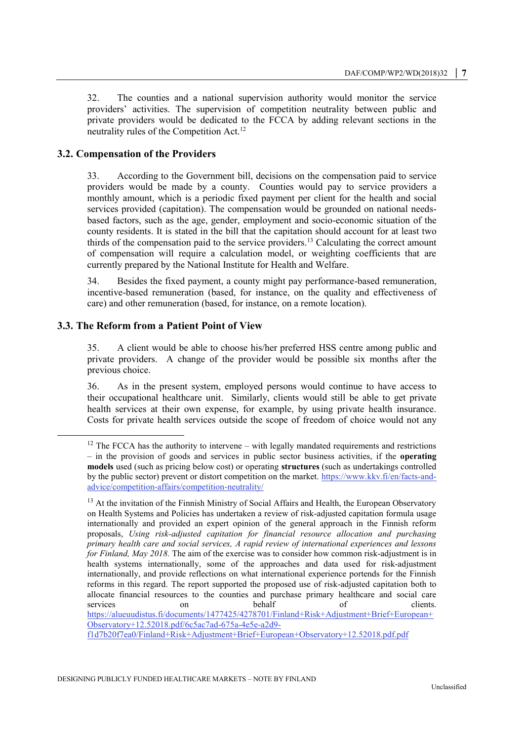32. The counties and a national supervision authority would monitor the service providers' activities. The supervision of competition neutrality between public and private providers would be dedicated to the FCCA by adding relevant sections in the neutrality rules of the Competition Act.<sup>12</sup>

#### **3.2. Compensation of the Providers**

33. According to the Government bill, decisions on the compensation paid to service providers would be made by a county. Counties would pay to service providers a monthly amount, which is a periodic fixed payment per client for the health and social services provided (capitation). The compensation would be grounded on national needsbased factors, such as the age, gender, employment and socio-economic situation of the county residents. It is stated in the bill that the capitation should account for at least two thirds of the compensation paid to the service providers.<sup>13</sup> Calculating the correct amount of compensation will require a calculation model, or weighting coefficients that are currently prepared by the National Institute for Health and Welfare.

34. Besides the fixed payment, a county might pay performance-based remuneration, incentive-based remuneration (based, for instance, on the quality and effectiveness of care) and other remuneration (based, for instance, on a remote location).

#### **3.3. The Reform from a Patient Point of View**

 $\ddot{\phantom{a}}$ 

35. A client would be able to choose his/her preferred HSS centre among public and private providers. A change of the provider would be possible six months after the previous choice.

36. As in the present system, employed persons would continue to have access to their occupational healthcare unit. Similarly, clients would still be able to get private health services at their own expense, for example, by using private health insurance. Costs for private health services outside the scope of freedom of choice would not any

 $12$  The FCCA has the authority to intervene – with legally mandated requirements and restrictions – in the provision of goods and services in public sector business activities, if the **operating models** used (such as pricing below cost) or operating **structures** (such as undertakings controlled by the public sector) prevent or distort competition on the market. [https://www.kkv.fi/en/facts-and](https://www.kkv.fi/en/facts-and-advice/competition-affairs/competition-neutrality/)[advice/competition-affairs/competition-neutrality/](https://www.kkv.fi/en/facts-and-advice/competition-affairs/competition-neutrality/)

<sup>&</sup>lt;sup>13</sup> At the invitation of the Finnish Ministry of Social Affairs and Health, the European Observatory on Health Systems and Policies has undertaken a review of risk-adjusted capitation formula usage internationally and provided an expert opinion of the general approach in the Finnish reform proposals, *Using risk-adjusted capitation for financial resource allocation and purchasing primary health care and social services, A rapid review of international experiences and lessons for Finland, May 2018.* The aim of the exercise was to consider how common risk-adjustment is in health systems internationally, some of the approaches and data used for risk-adjustment internationally, and provide reflections on what international experience portends for the Finnish reforms in this regard. The report supported the proposed use of risk-adjusted capitation both to allocate financial resources to the counties and purchase primary healthcare and social care services on behalf of clients. [https://alueuudistus.fi/documents/1477425/4278701/Finland+Risk+Adjustment+Brief+European+](https://alueuudistus.fi/documents/1477425/4278701/Finland+Risk+Adjustment+Brief+European+Observatory+12.52018.pdf/6c5ac7ad-675a-4e5e-a2d9-f1d7b20f7ea0/Finland+Risk+Adjustment+Brief+European+Observatory+12.52018.pdf.pdf) [Observatory+12.52018.pdf/6c5ac7ad-675a-4e5e-a2d9-](https://alueuudistus.fi/documents/1477425/4278701/Finland+Risk+Adjustment+Brief+European+Observatory+12.52018.pdf/6c5ac7ad-675a-4e5e-a2d9-f1d7b20f7ea0/Finland+Risk+Adjustment+Brief+European+Observatory+12.52018.pdf.pdf)

[f1d7b20f7ea0/Finland+Risk+Adjustment+Brief+European+Observatory+12.52018.pdf.pdf](https://alueuudistus.fi/documents/1477425/4278701/Finland+Risk+Adjustment+Brief+European+Observatory+12.52018.pdf/6c5ac7ad-675a-4e5e-a2d9-f1d7b20f7ea0/Finland+Risk+Adjustment+Brief+European+Observatory+12.52018.pdf.pdf)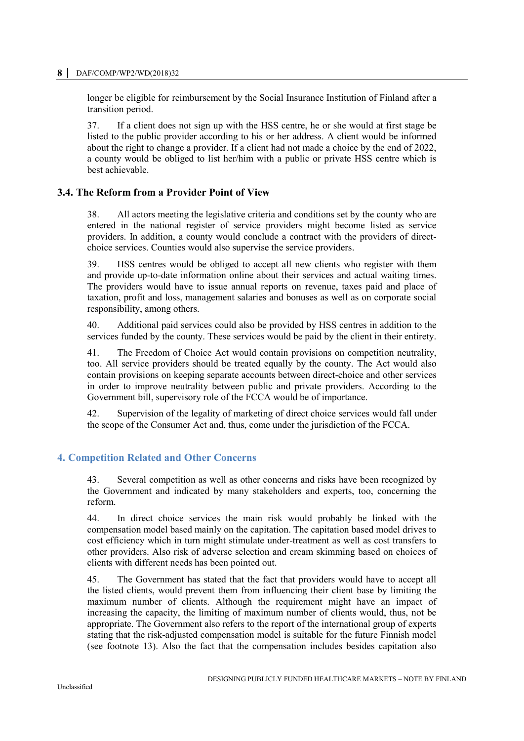longer be eligible for reimbursement by the Social Insurance Institution of Finland after a transition period.

37. If a client does not sign up with the HSS centre, he or she would at first stage be listed to the public provider according to his or her address. A client would be informed about the right to change a provider. If a client had not made a choice by the end of 2022, a county would be obliged to list her/him with a public or private HSS centre which is best achievable.

#### **3.4. The Reform from a Provider Point of View**

38. All actors meeting the legislative criteria and conditions set by the county who are entered in the national register of service providers might become listed as service providers. In addition, a county would conclude a contract with the providers of directchoice services. Counties would also supervise the service providers.

39. HSS centres would be obliged to accept all new clients who register with them and provide up-to-date information online about their services and actual waiting times. The providers would have to issue annual reports on revenue, taxes paid and place of taxation, profit and loss, management salaries and bonuses as well as on corporate social responsibility, among others.

40. Additional paid services could also be provided by HSS centres in addition to the services funded by the county. These services would be paid by the client in their entirety.

41. The Freedom of Choice Act would contain provisions on competition neutrality, too. All service providers should be treated equally by the county. The Act would also contain provisions on keeping separate accounts between direct-choice and other services in order to improve neutrality between public and private providers. According to the Government bill, supervisory role of the FCCA would be of importance.

42. Supervision of the legality of marketing of direct choice services would fall under the scope of the Consumer Act and, thus, come under the jurisdiction of the FCCA.

# **4. Competition Related and Other Concerns**

43. Several competition as well as other concerns and risks have been recognized by the Government and indicated by many stakeholders and experts, too, concerning the reform.

44. In direct choice services the main risk would probably be linked with the compensation model based mainly on the capitation. The capitation based model drives to cost efficiency which in turn might stimulate under-treatment as well as cost transfers to other providers. Also risk of adverse selection and cream skimming based on choices of clients with different needs has been pointed out.

45. The Government has stated that the fact that providers would have to accept all the listed clients, would prevent them from influencing their client base by limiting the maximum number of clients. Although the requirement might have an impact of increasing the capacity, the limiting of maximum number of clients would, thus, not be appropriate. The Government also refers to the report of the international group of experts stating that the risk-adjusted compensation model is suitable for the future Finnish model (see footnote 13). Also the fact that the compensation includes besides capitation also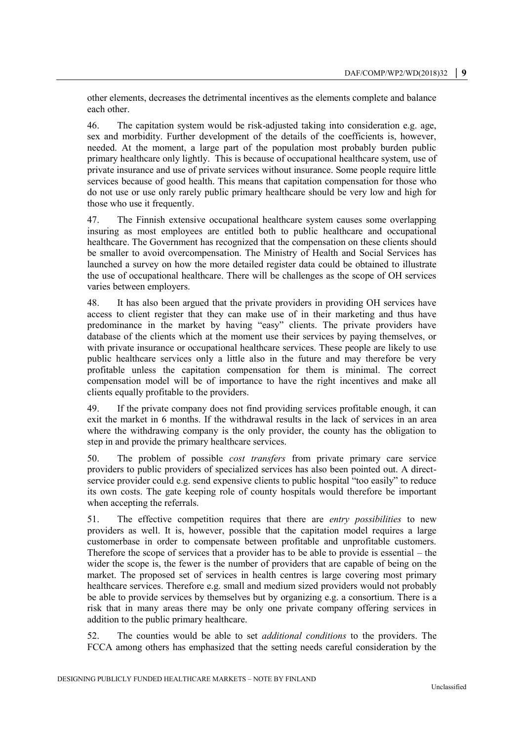other elements, decreases the detrimental incentives as the elements complete and balance each other.

46. The capitation system would be risk-adjusted taking into consideration e.g. age, sex and morbidity. Further development of the details of the coefficients is, however, needed. At the moment, a large part of the population most probably burden public primary healthcare only lightly. This is because of occupational healthcare system, use of private insurance and use of private services without insurance. Some people require little services because of good health. This means that capitation compensation for those who do not use or use only rarely public primary healthcare should be very low and high for those who use it frequently.

47. The Finnish extensive occupational healthcare system causes some overlapping insuring as most employees are entitled both to public healthcare and occupational healthcare. The Government has recognized that the compensation on these clients should be smaller to avoid overcompensation. The Ministry of Health and Social Services has launched a survey on how the more detailed register data could be obtained to illustrate the use of occupational healthcare. There will be challenges as the scope of OH services varies between employers.

48. It has also been argued that the private providers in providing OH services have access to client register that they can make use of in their marketing and thus have predominance in the market by having "easy" clients. The private providers have database of the clients which at the moment use their services by paying themselves, or with private insurance or occupational healthcare services. These people are likely to use public healthcare services only a little also in the future and may therefore be very profitable unless the capitation compensation for them is minimal. The correct compensation model will be of importance to have the right incentives and make all clients equally profitable to the providers.

49. If the private company does not find providing services profitable enough, it can exit the market in 6 months. If the withdrawal results in the lack of services in an area where the withdrawing company is the only provider, the county has the obligation to step in and provide the primary healthcare services.

50. The problem of possible *cost transfers* from private primary care service providers to public providers of specialized services has also been pointed out. A directservice provider could e.g. send expensive clients to public hospital "too easily" to reduce its own costs. The gate keeping role of county hospitals would therefore be important when accepting the referrals.

51. The effective competition requires that there are *entry possibilities* to new providers as well. It is, however, possible that the capitation model requires a large customerbase in order to compensate between profitable and unprofitable customers. Therefore the scope of services that a provider has to be able to provide is essential – the wider the scope is, the fewer is the number of providers that are capable of being on the market. The proposed set of services in health centres is large covering most primary healthcare services. Therefore e.g. small and medium sized providers would not probably be able to provide services by themselves but by organizing e.g. a consortium. There is a risk that in many areas there may be only one private company offering services in addition to the public primary healthcare.

52. The counties would be able to set *additional conditions* to the providers. The FCCA among others has emphasized that the setting needs careful consideration by the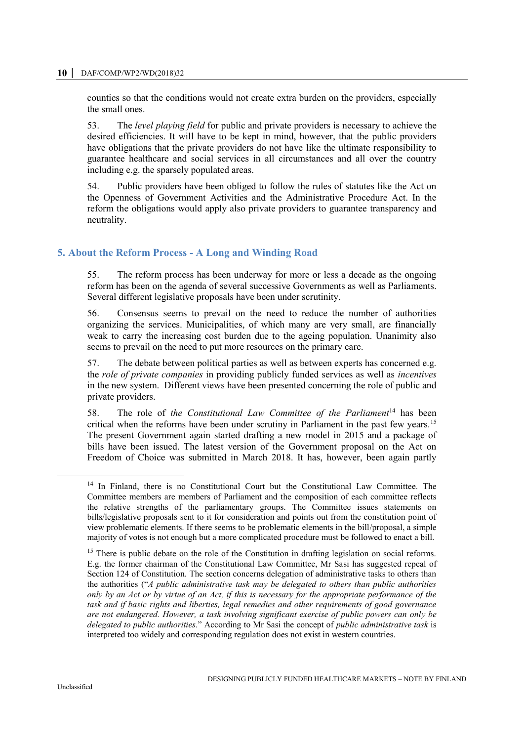counties so that the conditions would not create extra burden on the providers, especially the small ones.

53. The *level playing field* for public and private providers is necessary to achieve the desired efficiencies. It will have to be kept in mind, however, that the public providers have obligations that the private providers do not have like the ultimate responsibility to guarantee healthcare and social services in all circumstances and all over the country including e.g. the sparsely populated areas.

54. Public providers have been obliged to follow the rules of statutes like the Act on the Openness of Government Activities and the Administrative Procedure Act. In the reform the obligations would apply also private providers to guarantee transparency and neutrality.

# **5. About the Reform Process - A Long and Winding Road**

55. The reform process has been underway for more or less a decade as the ongoing reform has been on the agenda of several successive Governments as well as Parliaments. Several different legislative proposals have been under scrutinity.

56. Consensus seems to prevail on the need to reduce the number of authorities organizing the services. Municipalities, of which many are very small, are financially weak to carry the increasing cost burden due to the ageing population. Unanimity also seems to prevail on the need to put more resources on the primary care.

57. The debate between political parties as well as between experts has concerned e.g. the *role of private companies* in providing publicly funded services as well as *incentives* in the new system. Different views have been presented concerning the role of public and private providers.

58. The role of *the Constitutional Law Committee of the Parliament*<sup>14</sup> has been critical when the reforms have been under scrutiny in Parliament in the past few years.<sup>15</sup> The present Government again started drafting a new model in 2015 and a package of bills have been issued. The latest version of the Government proposal on the Act on Freedom of Choice was submitted in March 2018. It has, however, been again partly

<sup>&</sup>lt;sup>14</sup> In Finland, there is no Constitutional Court but the Constitutional Law Committee. The Committee members are members of Parliament and the composition of each committee reflects the relative strengths of the parliamentary groups. The Committee issues statements on bills/legislative proposals sent to it for consideration and points out from the constitution point of view problematic elements. If there seems to be problematic elements in the bill/proposal, a simple majority of votes is not enough but a more complicated procedure must be followed to enact a bill.

<sup>&</sup>lt;sup>15</sup> There is public debate on the role of the Constitution in drafting legislation on social reforms. E.g. the former chairman of the Constitutional Law Committee, Mr Sasi has suggested repeal of Section 124 of Constitution. The section concerns delegation of administrative tasks to others than the authorities ("*A public administrative task may be delegated to others than public authorities only by an Act or by virtue of an Act, if this is necessary for the appropriate performance of the task and if basic rights and liberties, legal remedies and other requirements of good governance are not endangered. However, a task involving significant exercise of public powers can only be delegated to public authorities*." According to Mr Sasi the concept of *public administrative task* is interpreted too widely and corresponding regulation does not exist in western countries.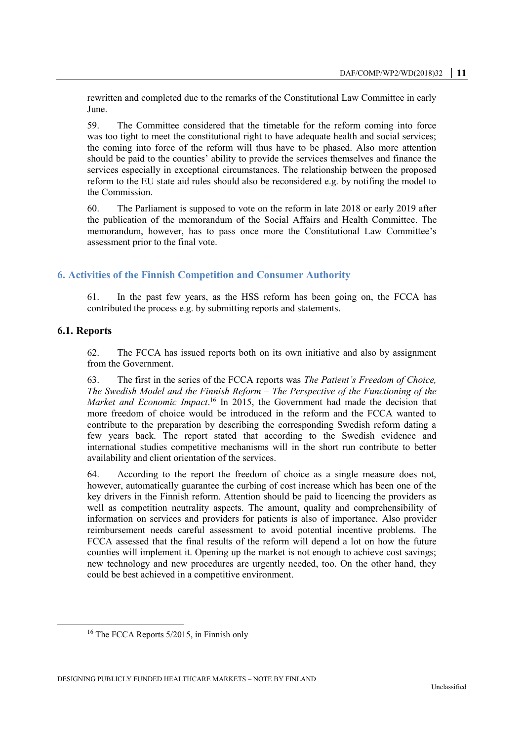rewritten and completed due to the remarks of the Constitutional Law Committee in early June.

59. The Committee considered that the timetable for the reform coming into force was too tight to meet the constitutional right to have adequate health and social services; the coming into force of the reform will thus have to be phased. Also more attention should be paid to the counties' ability to provide the services themselves and finance the services especially in exceptional circumstances. The relationship between the proposed reform to the EU state aid rules should also be reconsidered e.g. by notifing the model to the Commission.

60. The Parliament is supposed to vote on the reform in late 2018 or early 2019 after the publication of the memorandum of the Social Affairs and Health Committee. The memorandum, however, has to pass once more the Constitutional Law Committee's assessment prior to the final vote.

# **6. Activities of the Finnish Competition and Consumer Authority**

61. In the past few years, as the HSS reform has been going on, the FCCA has contributed the process e.g. by submitting reports and statements.

# **6.1. Reports**

 $\overline{a}$ 

62. The FCCA has issued reports both on its own initiative and also by assignment from the Government.

63. The first in the series of the FCCA reports was *The Patient's Freedom of Choice, The Swedish Model and the Finnish Reform – The Perspective of the Functioning of the Market and Economic Impact*. <sup>16</sup> In 2015, the Government had made the decision that more freedom of choice would be introduced in the reform and the FCCA wanted to contribute to the preparation by describing the corresponding Swedish reform dating a few years back. The report stated that according to the Swedish evidence and international studies competitive mechanisms will in the short run contribute to better availability and client orientation of the services.

64. According to the report the freedom of choice as a single measure does not, however, automatically guarantee the curbing of cost increase which has been one of the key drivers in the Finnish reform. Attention should be paid to licencing the providers as well as competition neutrality aspects. The amount, quality and comprehensibility of information on services and providers for patients is also of importance. Also provider reimbursement needs careful assessment to avoid potential incentive problems. The FCCA assessed that the final results of the reform will depend a lot on how the future counties will implement it. Opening up the market is not enough to achieve cost savings; new technology and new procedures are urgently needed, too. On the other hand, they could be best achieved in a competitive environment.

<sup>&</sup>lt;sup>16</sup> The FCCA Reports 5/2015, in Finnish only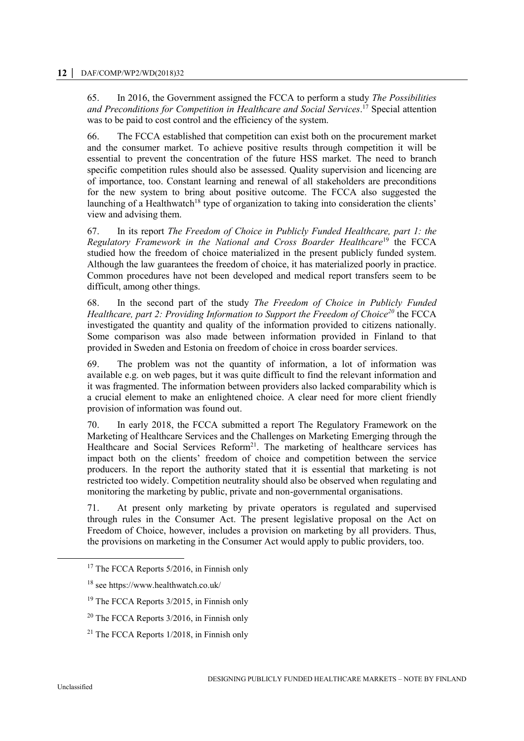65. In 2016, the Government assigned the FCCA to perform a study *The Possibilities and Preconditions for Competition in Healthcare and Social Services*. <sup>17</sup> Special attention was to be paid to cost control and the efficiency of the system.

66. The FCCA established that competition can exist both on the procurement market and the consumer market. To achieve positive results through competition it will be essential to prevent the concentration of the future HSS market. The need to branch specific competition rules should also be assessed. Quality supervision and licencing are of importance, too. Constant learning and renewal of all stakeholders are preconditions for the new system to bring about positive outcome. The FCCA also suggested the launching of a Healthwatch<sup>18</sup> type of organization to taking into consideration the clients' view and advising them.

67. In its report *The Freedom of Choice in Publicly Funded Healthcare, part 1: the Regulatory Framework in the National and Cross Boarder Healthcare*<sup>19</sup> the FCCA studied how the freedom of choice materialized in the present publicly funded system. Although the law guarantees the freedom of choice, it has materialized poorly in practice. Common procedures have not been developed and medical report transfers seem to be difficult, among other things.

68. In the second part of the study *The Freedom of Choice in Publicly Funded Healthcare, part 2: Providing Information to Support the Freedom of Choice<sup>20</sup>* the FCCA investigated the quantity and quality of the information provided to citizens nationally. Some comparison was also made between information provided in Finland to that provided in Sweden and Estonia on freedom of choice in cross boarder services.

69. The problem was not the quantity of information, a lot of information was available e.g. on web pages, but it was quite difficult to find the relevant information and it was fragmented. The information between providers also lacked comparability which is a crucial element to make an enlightened choice. A clear need for more client friendly provision of information was found out.

70. In early 2018, the FCCA submitted a report The Regulatory Framework on the Marketing of Healthcare Services and the Challenges on Marketing Emerging through the Healthcare and Social Services Reform<sup>21</sup>. The marketing of healthcare services has impact both on the clients' freedom of choice and competition between the service producers. In the report the authority stated that it is essential that marketing is not restricted too widely. Competition neutrality should also be observed when regulating and monitoring the marketing by public, private and non-governmental organisations.

71. At present only marketing by private operators is regulated and supervised through rules in the Consumer Act. The present legislative proposal on the Act on Freedom of Choice, however, includes a provision on marketing by all providers. Thus, the provisions on marketing in the Consumer Act would apply to public providers, too.

<sup>&</sup>lt;sup>17</sup> The FCCA Reports 5/2016, in Finnish only

<sup>18</sup> see https://www.healthwatch.co.uk/

<sup>&</sup>lt;sup>19</sup> The FCCA Reports  $3/2015$ , in Finnish only

 $20$  The FCCA Reports 3/2016, in Finnish only

<sup>&</sup>lt;sup>21</sup> The FCCA Reports  $1/2018$ , in Finnish only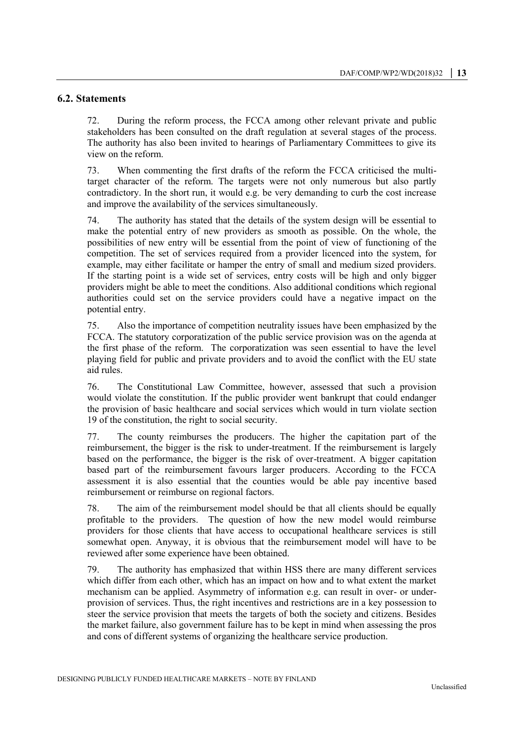#### **6.2. Statements**

72. During the reform process, the FCCA among other relevant private and public stakeholders has been consulted on the draft regulation at several stages of the process. The authority has also been invited to hearings of Parliamentary Committees to give its view on the reform.

73. When commenting the first drafts of the reform the FCCA criticised the multitarget character of the reform. The targets were not only numerous but also partly contradictory. In the short run, it would e.g. be very demanding to curb the cost increase and improve the availability of the services simultaneously.

74. The authority has stated that the details of the system design will be essential to make the potential entry of new providers as smooth as possible. On the whole, the possibilities of new entry will be essential from the point of view of functioning of the competition. The set of services required from a provider licenced into the system, for example, may either facilitate or hamper the entry of small and medium sized providers. If the starting point is a wide set of services, entry costs will be high and only bigger providers might be able to meet the conditions. Also additional conditions which regional authorities could set on the service providers could have a negative impact on the potential entry.

75. Also the importance of competition neutrality issues have been emphasized by the FCCA. The statutory corporatization of the public service provision was on the agenda at the first phase of the reform. The corporatization was seen essential to have the level playing field for public and private providers and to avoid the conflict with the EU state aid rules.

76. The Constitutional Law Committee, however, assessed that such a provision would violate the constitution. If the public provider went bankrupt that could endanger the provision of basic healthcare and social services which would in turn violate section 19 of the constitution, the right to social security.

77. The county reimburses the producers. The higher the capitation part of the reimbursement, the bigger is the risk to under-treatment. If the reimbursement is largely based on the performance, the bigger is the risk of over-treatment. A bigger capitation based part of the reimbursement favours larger producers. According to the FCCA assessment it is also essential that the counties would be able pay incentive based reimbursement or reimburse on regional factors.

78. The aim of the reimbursement model should be that all clients should be equally profitable to the providers. The question of how the new model would reimburse providers for those clients that have access to occupational healthcare services is still somewhat open. Anyway, it is obvious that the reimbursement model will have to be reviewed after some experience have been obtained.

79. The authority has emphasized that within HSS there are many different services which differ from each other, which has an impact on how and to what extent the market mechanism can be applied. Asymmetry of information e.g. can result in over- or underprovision of services. Thus, the right incentives and restrictions are in a key possession to steer the service provision that meets the targets of both the society and citizens. Besides the market failure, also government failure has to be kept in mind when assessing the pros and cons of different systems of organizing the healthcare service production.